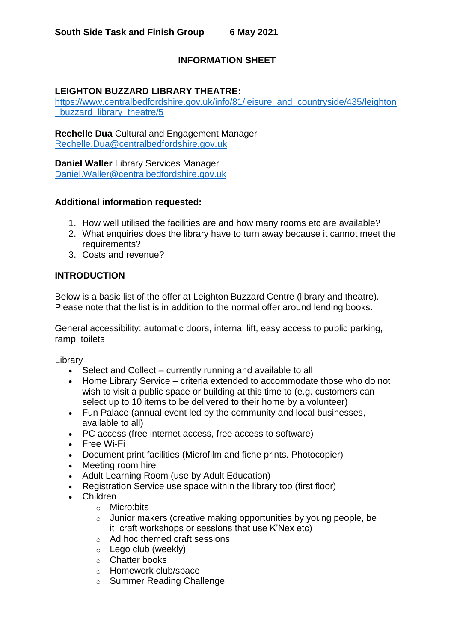# **INFORMATION SHEET**

## **LEIGHTON BUZZARD LIBRARY THEATRE:**

[https://www.centralbedfordshire.gov.uk/info/81/leisure\\_and\\_countryside/435/leighton](https://www.centralbedfordshire.gov.uk/info/81/leisure_and_countryside/435/leighton_buzzard_library_theatre/5) buzzard library theatre/5

**Rechelle Dua** Cultural and Engagement Manager [Rechelle.Dua@centralbedfordshire.gov.uk](mailto:Rechelle.Dua@centralbedfordshire.gov.uk)

**Daniel Waller** Library Services Manager [Daniel.Waller@centralbedfordshire.gov.uk](mailto:Daniel.Waller@centralbedfordshire.gov.uk)

#### **Additional information requested:**

- 1. How well utilised the facilities are and how many rooms etc are available?
- 2. What enquiries does the library have to turn away because it cannot meet the requirements?
- 3. Costs and revenue?

#### **INTRODUCTION**

Below is a basic list of the offer at Leighton Buzzard Centre (library and theatre). Please note that the list is in addition to the normal offer around lending books.

General accessibility: automatic doors, internal lift, easy access to public parking, ramp, toilets

Library

- Select and Collect currently running and available to all
- Home Library Service criteria extended to accommodate those who do not wish to visit a public space or building at this time to (e.g. customers can select up to 10 items to be delivered to their home by a volunteer)
- Fun Palace (annual event led by the community and local businesses, available to all)
- PC access (free internet access, free access to software)
- Free Wi-Fi
- Document print facilities (Microfilm and fiche prints. Photocopier)
- Meeting room hire
- Adult Learning Room (use by Adult Education)
- Registration Service use space within the library too (first floor)
- Children
	- o Micro:bits
	- o Junior makers (creative making opportunities by young people, be it craft workshops or sessions that use K'Nex etc)
	- o Ad hoc themed craft sessions
	- o Lego club (weekly)
	- o Chatter books
	- o Homework club/space
	- o Summer Reading Challenge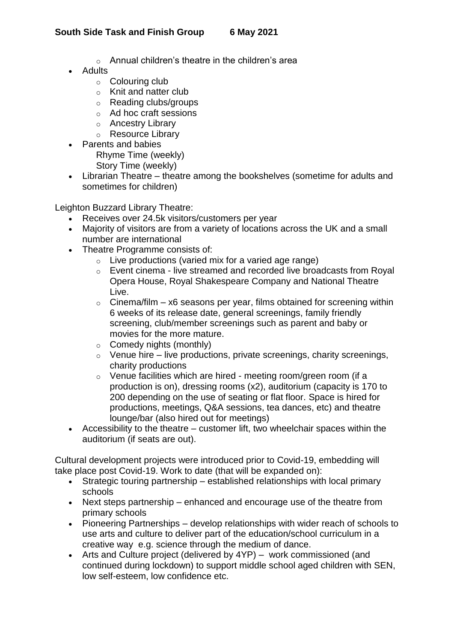## **South Side Task and Finish Group 6 May 2021**

- o Annual children's theatre in the children's area
- Adults
	- $\circ$  Colouring club
	- o Knit and natter club
	- o Reading clubs/groups
	- o Ad hoc craft sessions
	- o Ancestry Library
	- o Resource Library
- Parents and babies Rhyme Time (weekly) Story Time (weekly)
- Librarian Theatre theatre among the bookshelves (sometime for adults and sometimes for children)

Leighton Buzzard Library Theatre:

- Receives over 24.5k visitors/customers per year
- Majority of visitors are from a variety of locations across the UK and a small number are international
- Theatre Programme consists of:
	- $\circ$  Live productions (varied mix for a varied age range)
	- o Event cinema live streamed and recorded live broadcasts from Royal Opera House, Royal Shakespeare Company and National Theatre Live.
	- $\circ$  Cinema/film x6 seasons per year, films obtained for screening within 6 weeks of its release date, general screenings, family friendly screening, club/member screenings such as parent and baby or movies for the more mature.
	- $\circ$  Comedy nights (monthly)
	- $\circ$  Venue hire live productions, private screenings, charity screenings, charity productions
	- o Venue facilities which are hired meeting room/green room (if a production is on), dressing rooms (x2), auditorium (capacity is 170 to 200 depending on the use of seating or flat floor. Space is hired for productions, meetings, Q&A sessions, tea dances, etc) and theatre lounge/bar (also hired out for meetings)
- Accessibility to the theatre customer lift, two wheelchair spaces within the auditorium (if seats are out).

Cultural development projects were introduced prior to Covid-19, embedding will take place post Covid-19. Work to date (that will be expanded on):

- Strategic touring partnership established relationships with local primary schools
- Next steps partnership enhanced and encourage use of the theatre from primary schools
- Pioneering Partnerships develop relationships with wider reach of schools to use arts and culture to deliver part of the education/school curriculum in a creative way e.g. science through the medium of dance.
- Arts and Culture project (delivered by 4YP) work commissioned (and continued during lockdown) to support middle school aged children with SEN, low self-esteem, low confidence etc.